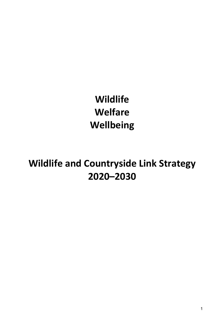**Wildlife Welfare Wellbeing**

**Wildlife and Countryside Link Strategy 2020–2030**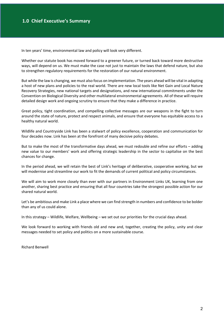In ten years' time, environmental law and policy will look very different.

Whether our statute book has moved forward to a greener future, or turned back toward more destructive ways, will depend on us. We must make the case not just to maintain the laws that defend nature, but also to strengthen regulatory requirements for the restoration of our natural environment.

But while the law is changing, we must also focus on implementation. The years ahead will be vital in adapting a host of new plans and policies to the real world. There are new local tools like Net Gain and Local Nature Recovery Strategies, new national targets and designations, and new international commitments under the Convention on Biological Diversity and other multilateral environmental agreements. All of these will require detailed design work and ongoing scrutiny to ensure that they make a difference in practice.

Great policy, tight coordination, and compelling collective messages are our weapons in the fight to turn around the state of nature, protect and respect animals, and ensure that everyone has equitable access to a healthy natural world.

Wildlife and Countryside Link has been a stalwart of policy excellence, cooperation and communication for four decades now. Link has been at the forefront of many decisive policy debates.

But to make the most of the transformative days ahead, we must redouble and refine our efforts – adding new value to our members' work and offering strategic leadership in the sector to capitalise on the best chances for change.

In the period ahead, we will retain the best of Link's heritage of deliberative, cooperative working, but we will modernise and streamline our work to fit the demands of current political and policy circumstances.

We will aim to work more closely than ever with our partners in Environment Links UK, learning from one another, sharing best practice and ensuring that all four countries take the strongest possible action for our shared natural world.

Let's be ambitious and make Link a place where we can find strength in numbers and confidence to be bolder than any of us could alone.

In this strategy – Wildlife, Welfare, Wellbeing – we set out our priorities for the crucial days ahead.

We look forward to working with friends old and new and, together, creating the policy, unity and clear messages needed to set policy and politics on a more sustainable course.

Richard Benwell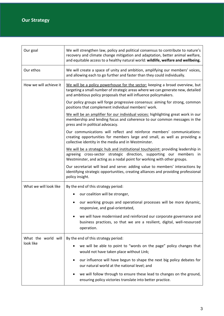| Our goal                         | We will strengthen law, policy and political consensus to contribute to nature's<br>recovery and climate change mitigation and adaptation, better animal welfare,<br>and equitable access to a healthy natural world: wildlife, welfare and wellbeing. |
|----------------------------------|--------------------------------------------------------------------------------------------------------------------------------------------------------------------------------------------------------------------------------------------------------|
| Our ethos                        | We will create a space of unity and ambition, amplifying our members' voices,<br>and allowing each to go further and faster than they could individually.                                                                                              |
| How we will achieve it           | We will be a policy powerhouse for the sector: keeping a broad overview, but<br>targeting a small number of strategic areas where we can generate new, detailed<br>and ambitious policy proposals that will influence policymakers.                    |
|                                  | Our policy groups will forge progressive consensus: aiming for strong, common<br>positions that complement individual members' work.                                                                                                                   |
|                                  | We will be an amplifier for our individual voices: highlighting great work in our<br>membership and lending focus and coherence to our common messages in the<br>press and in political advocacy.                                                      |
|                                  | Our communications will reflect and reinforce members' communications:<br>creating opportunities for members large and small, as well as providing a<br>collective identity in the media and in Westminster.                                           |
|                                  | We will be a strategic hub and institutional touchpoint: providing leadership in<br>agreeing cross-sector strategic direction, supporting our members in<br>Westminster, and acting as a nodal point for working with other groups.                    |
|                                  | Our secretariat will lead and serve: adding value to members' interactions by<br>identifying strategic opportunities, creating alliances and providing professional<br>policy insight.                                                                 |
| What we will look like           | By the end of this strategy period:                                                                                                                                                                                                                    |
|                                  | our coalition will be stronger,                                                                                                                                                                                                                        |
|                                  | our working groups and operational processes will be more dynamic,<br>responsive, and goal-orientated,                                                                                                                                                 |
|                                  | we will have modernised and reinforced our corporate governance and<br>business practices, so that we are a resilient, digital, well-resourced<br>operation.                                                                                           |
| What the world will<br>look like | By the end of this strategy period:                                                                                                                                                                                                                    |
|                                  | we will be able to point to "words on the page" policy changes that<br>would not have taken place without Link;                                                                                                                                        |
|                                  | our influence will have begun to shape the next big policy debates for<br>our natural world at the national level; and                                                                                                                                 |
|                                  | we will follow through to ensure these lead to changes on the ground,<br>ensuring policy victories translate into better practice.                                                                                                                     |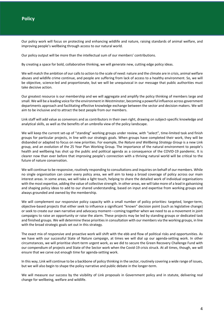Our policy work will focus on protecting and enhancing wildlife and nature, raising standards of animal welfare, and improving people's wellbeing through access to our natural world.

Our policy output will be more than the intellectual sum of our members' contributions.

By creating a space for bold, collaborative thinking, we will generate new, cutting edge policy ideas.

We will match the ambition of our calls to action to the scale of need: nature and the climate are in crisis, animal welfare abuses and wildlife crime continue, and people are suffering from lack of access to a healthy environment. So, we will be objective, science-led and proportionate, but we will be unequivocal in our message that public authorities must take decisive action.

Our greatest resource is our membership and we will aggregate and amplify the policy thinking of members large and small. We will be a leading voice for the environment in Westminster, becoming a powerful influence across government departments approach and facilitating effective knowledge exchange between the sector and decision makers. We will aim to be inclusive and to attract the best people from our members.

Link staff will add value as convenors and as contributors in their own right, drawing on subject-specific knowledge and analytical skills, as well as the benefits of an umbrella view of the policy landscape.

We will keep the current set-up of "standing" working groups under review, with "select", time-limited task and finish groups for particular projects, in line with our strategic goals. When groups have completed their work, they will be disbanded or adapted to focus on new priorities. For example, the *Nature and Wellbeing Strategy Group* is a new Link group, and an evolution of the 25 Year Plan Working Group. The importance of the natural environment to people's health and wellbeing has shot up the public and political agenda as a consequence of the COVID-19 pandemic. It is clearer now than ever before that improving people's connection with a thriving natural world will be critical to the future of nature conservation.

We will continue to be responsive, routinely responding to consultations and inquiries on behalf of our members. While no single organisation can cover every policy area, we will aim to keep a broad coverage of policy across our main interest areas. In some areas, we will take a light touch, helping to share the detailed work of individual organisations with the most expertise, adding the value of collective strength. In other areas, we will take more of a lead in galvanising and shaping policy ideas to add to our shared understanding, based on input and expertise from working groups and always grounded and owned by the membership.

We will complement our responsive policy capacity with a small number of policy priorities: targeted, longer-term, objective-based projects that either seek to influence a significant "known" decision point (such as legislative change) or seek to create our own narrative and advocacy moment—coming together when we need to as a movement in joint campaigns to raise an opportunity or raise the alarm. These projects may be led by standing groups or dedicated task and finished groups. We will determine these priorities in consultation with our members via the working groups, in line with the broad strategic goals set out in this strategy.

The exact mix of responsive and proactive work will shift with the ebb and flow of political risks and opportunities. As we have with our successful State of Nature campaign, at times we will dial up our agenda-setting work. In other circumstances, we will prioritise short-term urgent work, as we did to secure the Green Recovery Challenge Fund with our compendium of projects and State of the Sector work when the Covid-19 crisis struck. At all times, though, we will ensure that we carve out enough time for agenda-setting work.

In this way, Link will continue to be a backbone of policy thinking in the sector, routinely covering a wide range of issues, but we will also begin to shape the policy narrative and public debate in the longer-term.

We will measure our success by the visibility of Link proposals in Government policy and in statute, delivering real change for wellbeing, welfare and wildlife.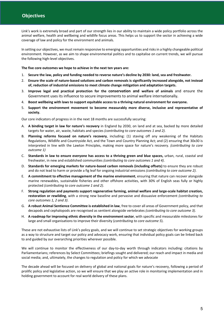Link's work is extremely broad and part of our strength lies in our ability to maintain a wide policy portfolio across the animal welfare, health and wellbeing and wildlife focus areas. This helps us to support the sector in achieving a wide coverage of law and policy for the environment and animals.

In setting our objectives, we must remain responsive to emerging opportunities and risks in a highly changeable political environment. However, as we aim to shape environmental politics and to capitalise on current trends, we will pursue the following high-level objectives.

**The five core outcomes we hope to achieve in the next ten years are:**

- 1. **Secure the law, policy and funding needed to reverse nature's decline by 2030: land, sea and freshwater.**
- 2. **Ensure the scale of nature-based solutions and carbon removals is significantly increased alongside, not instead of, reduction of industrial emissions to meet climate change mitigation and adaptation targets.**
- 3. **Improve legal and practical protection for the conservation and welfare of animals** and ensure the Government uses its influence to secure improvements to animal welfare internationally**.**
- 4. **Boost wellbeing with laws to support equitable access to a thriving natural environment for everyone.**
- 5. **Support the environment movement to become measurably more diverse, inclusive and representative of society.**

Our core indicators of progress in in the next 18 months are successfully securing:

- A. **A binding target in law for nature's recovery** in England by 2030, on land and at sea, backed by more detailed targets for water, air, waste, habitats and species *(contributing to core outcomes 1 and 2)*.
- B. **Planning reforms focused on nature's recovery**, including: (1) staving off any weakening of the Habitats Regulations, Wildlife and Countryside Act, and the Town and Country Planning Act; and (2) ensuring that 30x30 is interpreted in line with the Lawton Principles, making more space for nature's recovery. *(contributing to core outcome 1)*
- C. **Standards in law to ensure everyone has access to a thriving green and blue spaces,** urban, rural, coastal and freshwater, in new and established communities *(contributing to core outcomes 1 and 4)*.
- D. **Standards for emerging markets for nature-based carbon removals (including offsets)** to ensure they are robust and do not lead to harm or provide a fig leaf for ongoing industrial emissions *(contributing to core outcome 2)*.
- E. **A commitment to effective management of the marine environment**, ensuring that nature can recover alongside marine renewables, sustainable fisheries and other offshore activities, with 30% of English seas fully or highly protected *(contributing to core outcome 1 and 2)*.
- F. **Strong regulation and payments support regenerative farming, animal welfare and large-scale habitat creation, restoration or rewilding**, with a strong new baseline and pervasive and dissuasive enforcement *(contributing to core outcomes 1, 2 and 3)*.
- G. **A robust Animal Sentience Committee is established in law**, free to cover all areas of Government policy, and that decapods and cephalopods are recognised as sentient alongside vertebrates *(contributing to core outcome 3)*.
- H. **A roadmap for improving ethnic diversity in the environment sector**, with specific and measurable milestones for large and small organisations to improve their diversity (*contributing to core outcome 5*).

These are not exhaustive lists of Link's policy goals, and we will continue to set strategic objectives for working groups as a way to structure and target our policy and advocacy work, ensuring that individual policy goals can be linked back to and guided by our overarching priorities wherever possible.

We will continue to monitor the effectiveness of our day-to-day worth through indicators including: citations by Parliamentarians; references by Select Committees; briefings sought and delivered; our reach and impact in media and social media; and, ultimately, the changes to regulation and policy for which we advocate

The decade ahead will be focused on delivery of global and national goals for nature's recovery, following a period of prolific policy and legislative action, so we will ensure that we play an active role in monitoring implementation and in holding government to account for real world delivery of these plans.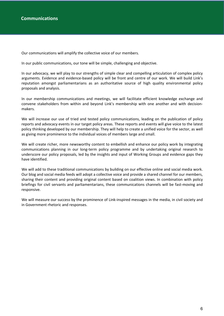Our communications will amplify the collective voice of our members.

In our public communications, our tone will be simple, challenging and objective.

In our advocacy, we will play to our strengths of simple clear and compelling articulation of complex policy arguments. Evidence and evidence-based policy will be front and centre of our work. We will build Link's reputation amongst parliamentarians as an authoritative source of high quality environmental policy proposals and analysis.

In our membership communications and meetings, we will facilitate efficient knowledge exchange and convene stakeholders from within and beyond Link's membership with one another and with decisionmakers.

We will increase our use of tried and tested policy communications, leading on the publication of policy reports and advocacy events in our target policy areas. These reports and events will give voice to the latest policy thinking developed by our membership. They will help to create a unified voice for the sector, as well as giving more prominence to the individual voices of members large and small.

We will create richer, more newsworthy content to embellish and enhance our policy work by integrating communications planning in our long-term policy programme and by undertaking original research to underscore our policy proposals, led by the insights and input of Working Groups and evidence gaps they have identified.

We will add to these traditional communications by building on our effective online and social media work. Our blog and social media feeds will adopt a collective voice and provide a shared channel for our members, sharing their content and providing original content based on coalition views. In combination with policy briefings for civil servants and parliamentarians, these communications channels will be fast-moving and responsive.

We will measure our success by the prominence of Link-inspired messages in the media, in civil society and in Government rhetoric and responses.